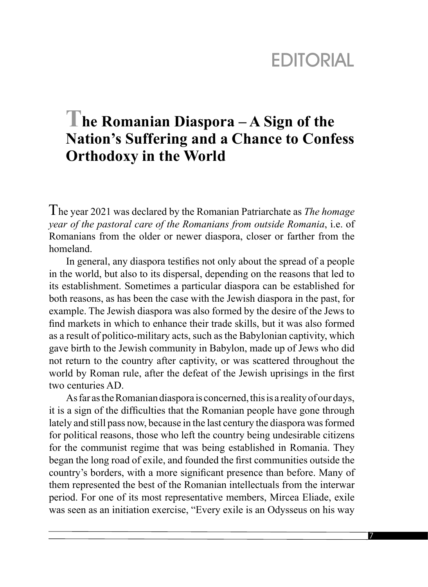## **EDITORIAL**

## **The Romanian Diaspora – A Sign of the Nation's Suffering and a Chance to Confess Orthodoxy in the World**

The year 2021 was declared by the Romanian Patriarchate as *The homage year of the pastoral care of the Romanians from outside Romania*, i.e. of Romanians from the older or newer diaspora, closer or farther from the homeland.

In general, any diaspora testifies not only about the spread of a people in the world, but also to its dispersal, depending on the reasons that led to its establishment. Sometimes a particular diaspora can be established for both reasons, as has been the case with the Jewish diaspora in the past, for example. The Jewish diaspora was also formed by the desire of the Jews to find markets in which to enhance their trade skills, but it was also formed as a result of politico-military acts, such as the Babylonian captivity, which gave birth to the Jewish community in Babylon, made up of Jews who did not return to the country after captivity, or was scattered throughout the world by Roman rule, after the defeat of the Jewish uprisings in the first two centuries AD.

As far as the Romanian diaspora is concerned, this is a reality of our days, it is a sign of the difficulties that the Romanian people have gone through lately and still pass now, because in the last century the diaspora was formed for political reasons, those who left the country being undesirable citizens for the communist regime that was being established in Romania. They began the long road of exile, and founded the first communities outside the country's borders, with a more significant presence than before. Many of them represented the best of the Romanian intellectuals from the interwar period. For one of its most representative members, Mircea Eliade, exile was seen as an initiation exercise, "Every exile is an Odysseus on his way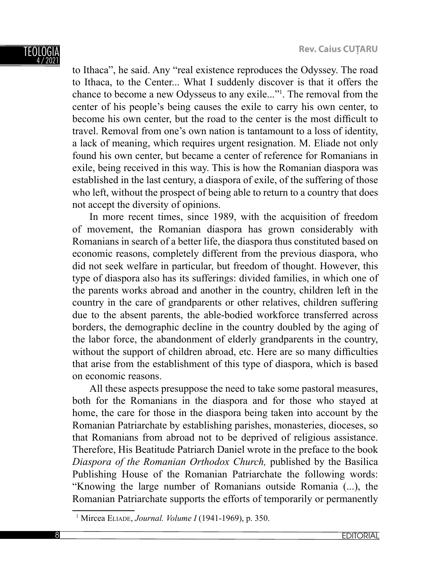to Ithaca", he said. Any "real existence reproduces the Odyssey. The road to Ithaca, to the Center... What I suddenly discover is that it offers the chance to become a new Odysseus to any exile..."1 . The removal from the center of his people's being causes the exile to carry his own center, to become his own center, but the road to the center is the most difficult to travel. Removal from one's own nation is tantamount to a loss of identity, a lack of meaning, which requires urgent resignation. M. Eliade not only found his own center, but became a center of reference for Romanians in exile, being received in this way. This is how the Romanian diaspora was established in the last century, a diaspora of exile, of the suffering of those who left, without the prospect of being able to return to a country that does not accept the diversity of opinions.

In more recent times, since 1989, with the acquisition of freedom of movement, the Romanian diaspora has grown considerably with Romanians in search of a better life, the diaspora thus constituted based on economic reasons, completely different from the previous diaspora, who did not seek welfare in particular, but freedom of thought. However, this type of diaspora also has its sufferings: divided families, in which one of the parents works abroad and another in the country, children left in the country in the care of grandparents or other relatives, children suffering due to the absent parents, the able-bodied workforce transferred across borders, the demographic decline in the country doubled by the aging of the labor force, the abandonment of elderly grandparents in the country, without the support of children abroad, etc. Here are so many difficulties that arise from the establishment of this type of diaspora, which is based on economic reasons.

All these aspects presuppose the need to take some pastoral measures, both for the Romanians in the diaspora and for those who stayed at home, the care for those in the diaspora being taken into account by the Romanian Patriarchate by establishing parishes, monasteries, dioceses, so that Romanians from abroad not to be deprived of religious assistance. Therefore, His Beatitude Patriarch Daniel wrote in the preface to the book *Diaspora of the Romanian Orthodox Church,* published by the Basilica Publishing House of the Romanian Patriarchate the following words: "Knowing the large number of Romanians outside Romania (...), the Romanian Patriarchate supports the efforts of temporarily or permanently

<sup>1</sup> Mircea ELIADE, *Journal. Volume I* (1941-1969), p. 350.